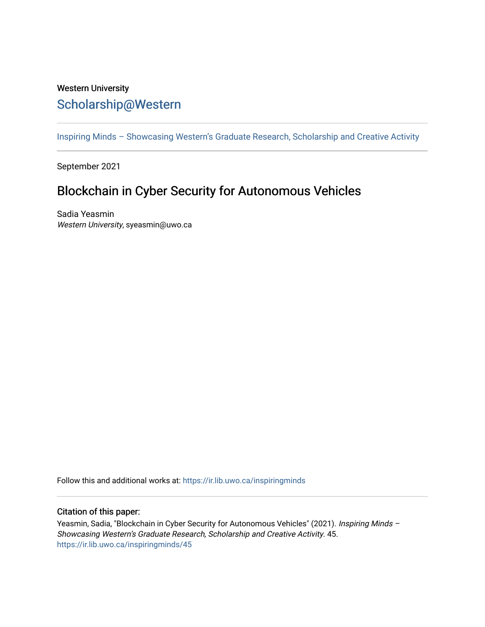## Western University [Scholarship@Western](https://ir.lib.uwo.ca/)

[Inspiring Minds – Showcasing Western's Graduate Research, Scholarship and Creative Activity](https://ir.lib.uwo.ca/inspiringminds) 

September 2021

## Blockchain in Cyber Security for Autonomous Vehicles

Sadia Yeasmin Western University, syeasmin@uwo.ca

Follow this and additional works at: [https://ir.lib.uwo.ca/inspiringminds](https://ir.lib.uwo.ca/inspiringminds?utm_source=ir.lib.uwo.ca%2Finspiringminds%2F45&utm_medium=PDF&utm_campaign=PDFCoverPages) 

## Citation of this paper:

Yeasmin, Sadia, "Blockchain in Cyber Security for Autonomous Vehicles" (2021). Inspiring Minds -Showcasing Western's Graduate Research, Scholarship and Creative Activity. 45. [https://ir.lib.uwo.ca/inspiringminds/45](https://ir.lib.uwo.ca/inspiringminds/45?utm_source=ir.lib.uwo.ca%2Finspiringminds%2F45&utm_medium=PDF&utm_campaign=PDFCoverPages)